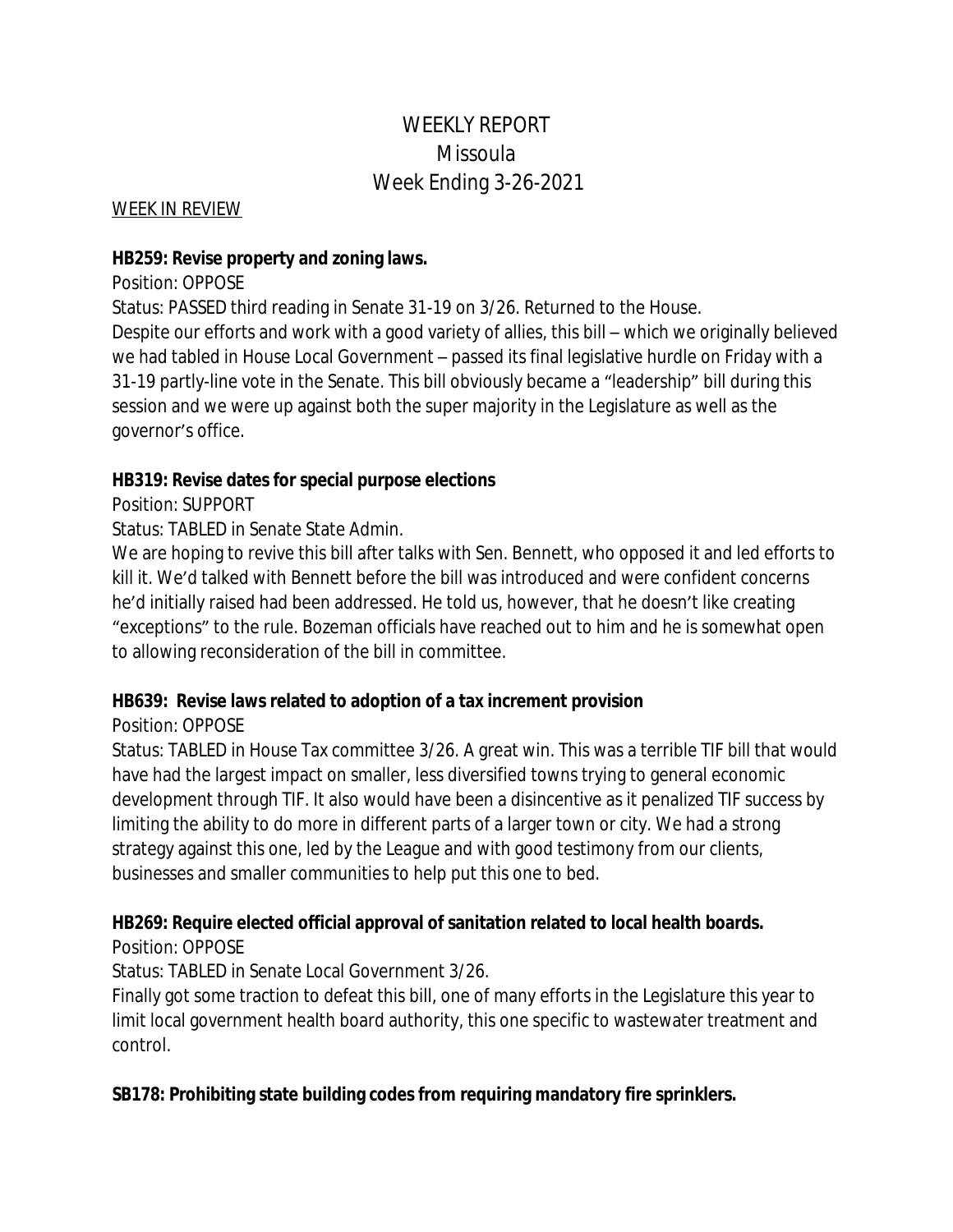# WEEKLY REPORT Missoula Week Ending 3-26-2021

WEEK IN REVIEW

#### **HB259: Revise property and zoning laws.**

Position: OPPOSE

Status: PASSED third reading in Senate 31-19 on 3/26. Returned to the House. Despite our efforts and work with a good variety of allies, this bill – which we originally believed we had tabled in House Local Government – passed its final legislative hurdle on Friday with a 31-19 partly-line vote in the Senate. This bill obviously became a "leadership" bill during this session and we were up against both the super majority in the Legislature as well as the governor's office.

### **HB319: Revise dates for special purpose elections**

Position: SUPPORT

Status: TABLED in Senate State Admin.

We are hoping to revive this bill after talks with Sen. Bennett, who opposed it and led efforts to kill it. We'd talked with Bennett before the bill was introduced and were confident concerns he'd initially raised had been addressed. He told us, however, that he doesn't like creating "exceptions" to the rule. Bozeman officials have reached out to him and he is somewhat open to allowing reconsideration of the bill in committee.

## **HB639: Revise laws related to adoption of a tax increment provision**

### Position: OPPOSE

Status: TABLED in House Tax committee 3/26. A great win. This was a terrible TIF bill that would have had the largest impact on smaller, less diversified towns trying to general economic development through TIF. It also would have been a disincentive as it penalized TIF success by limiting the ability to do more in different parts of a larger town or city. We had a strong strategy against this one, led by the League and with good testimony from our clients, businesses and smaller communities to help put this one to bed.

## **HB269: Require elected official approval of sanitation related to local health boards.**

Position: OPPOSE

Status: TABLED in Senate Local Government 3/26.

Finally got some traction to defeat this bill, one of many efforts in the Legislature this year to limit local government health board authority, this one specific to wastewater treatment and control.

## **SB178: Prohibiting state building codes from requiring mandatory fire sprinklers.**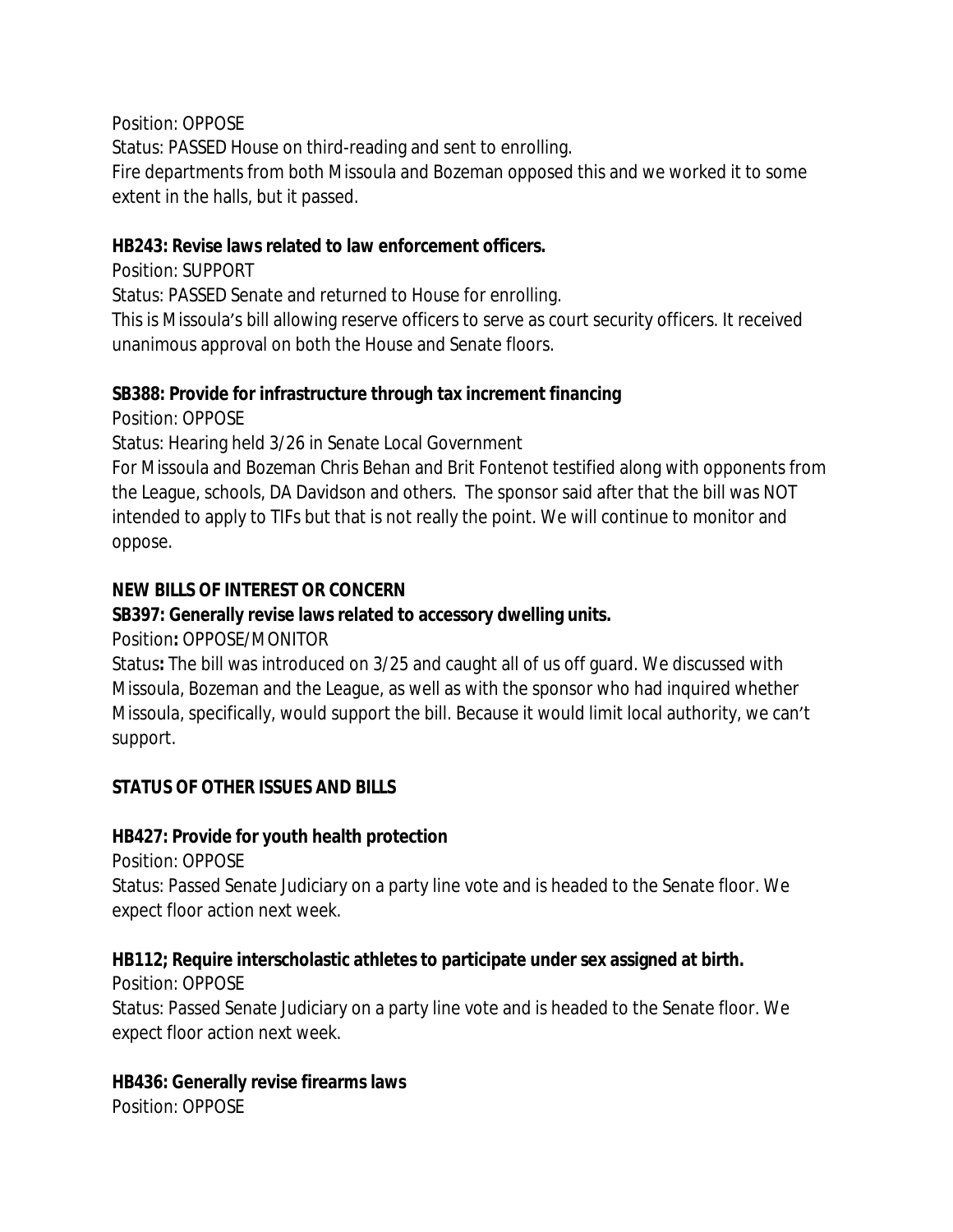Position: OPPOSE

Status: PASSED House on third-reading and sent to enrolling.

Fire departments from both Missoula and Bozeman opposed this and we worked it to some extent in the halls, but it passed.

### **HB243: Revise laws related to law enforcement officers.**

Position: SUPPORT

Status: PASSED Senate and returned to House for enrolling.

This is Missoula's bill allowing reserve officers to serve as court security officers. It received unanimous approval on both the House and Senate floors.

## **SB388: Provide for infrastructure through tax increment financing**

Position: OPPOSE

Status: Hearing held 3/26 in Senate Local Government

For Missoula and Bozeman Chris Behan and Brit Fontenot testified along with opponents from the League, schools, DA Davidson and others. The sponsor said after that the bill was NOT intended to apply to TIFs but that is not really the point. We will continue to monitor and oppose.

## **NEW BILLS OF INTEREST OR CONCERN**

## **SB397: Generally revise laws related to accessory dwelling units.**

Position**:** OPPOSE/MONITOR

Status**:** The bill was introduced on 3/25 and caught all of us off guard. We discussed with Missoula, Bozeman and the League, as well as with the sponsor who had inquired whether Missoula, specifically, would support the bill. Because it would limit local authority, we can't support.

## **STATUS OF OTHER ISSUES AND BILLS**

## **HB427: Provide for youth health protection**

Position: OPPOSE

Status: Passed Senate Judiciary on a party line vote and is headed to the Senate floor. We expect floor action next week.

## **HB112; Require interscholastic athletes to participate under sex assigned at birth.**

Position: OPPOSE

Status: Passed Senate Judiciary on a party line vote and is headed to the Senate floor. We expect floor action next week.

## **HB436: Generally revise firearms laws**

Position: OPPOSE